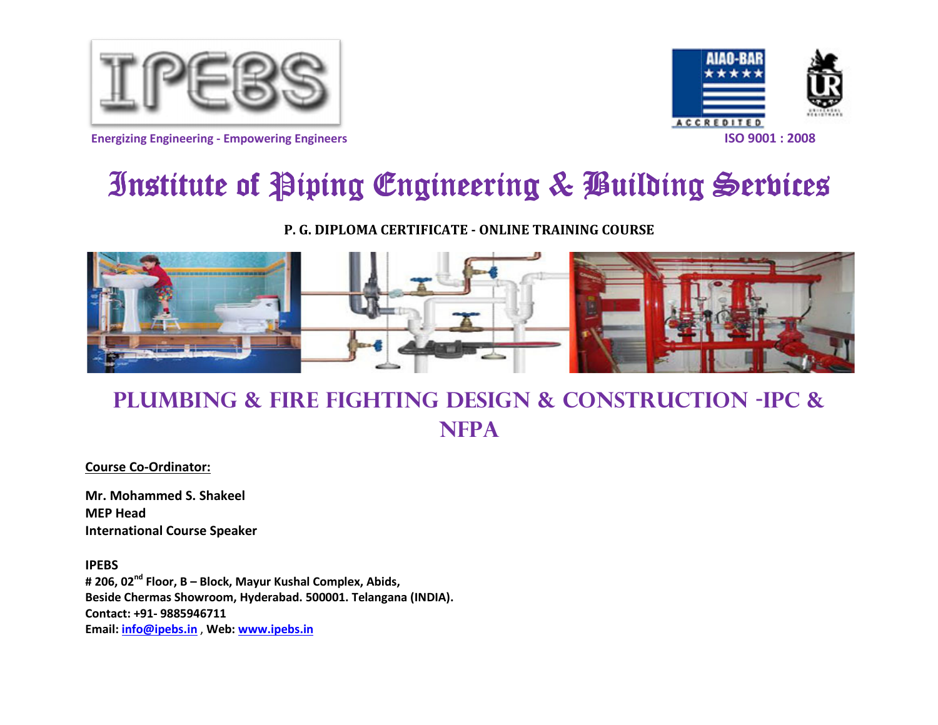





# Institute of Piping Engineering & Building Serbices

P. G. DIPLOMA CERTIFICATE - ONLINE TRAINING COURSE



Plumbing & Fire fighting design & CONSTRUCTION -IPC & **NFPA** 

Course Co-Ordinator:

Mr. Mohammed S. Shakeel MEP Head International Course Speaker

IPEBS# 206, 02<sup>nd</sup> Floor, B – Block, Mayur Kushal Complex, Abids, Beside Chermas Showroom, Hyderabad. 500001. Telangana (INDIA).Contact: +91- 9885946711 Email: info@ipebs.in , Web: www.ipebs.in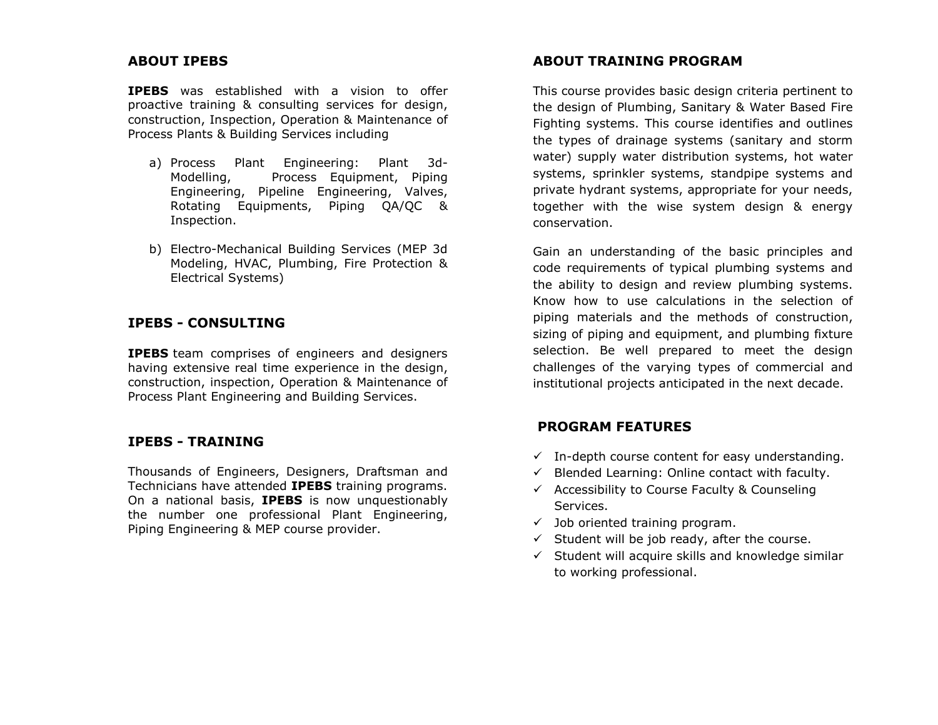#### ABOUT IPEBS

IPEBS was established with a vision to offer proactive training & consulting services for design, construction, Inspection, Operation & Maintenance of Process Plants & Building Services including

- a) Process Plant Engineering: Plant 3d-Modelling, Process Equipment, Piping Engineering, Pipeline Engineering, Valves, Rotating Equipments, Piping QA/QC & Inspection.
- b) Electro-Mechanical Building Services (MEP 3d Modeling, HVAC, Plumbing, Fire Protection & Electrical Systems)

#### IPEBS - CONSULTING

**IPEBS** team comprises of engineers and designers having extensive real time experience in the design, construction, inspection, Operation & Maintenance of Process Plant Engineering and Building Services.

#### IPEBS - TRAINING

Thousands of Engineers, Designers, Draftsman and Technicians have attended **IPEBS** training programs. On a national basis, **IPEBS** is now unquestionably the number one professional Plant Engineering, Piping Engineering & MEP course provider.

#### ABOUT TRAINING PROGRAM

This course provides basic design criteria pertinent to the design of Plumbing, Sanitary & Water Based Fire Fighting systems. This course identifies and outlines the types of drainage systems (sanitary and storm water) supply water distribution systems, hot water systems, sprinkler systems, standpipe systems and private hydrant systems, appropriate for your needs, together with the wise system design & energy conservation.

Gain an understanding of the basic principles and code requirements of typical plumbing systems and the ability to design and review plumbing systems. Know how to use calculations in the selection of piping materials and the methods of construction, sizing of piping and equipment, and plumbing fixture selection. Be well prepared to meet the design challenges of the varying types of commercial and institutional projects anticipated in the next decade.

#### PROGRAM FEATURES

- $\checkmark$  In-depth course content for easy understanding.
- $\checkmark$  Blended Learning: Online contact with faculty.
- $\checkmark$  Accessibility to Course Faculty & Counseling Services.
- $\checkmark$  Job oriented training program.
- $\checkmark$  Student will be job ready, after the course.
- $\checkmark$  Student will acquire skills and knowledge similar to working professional.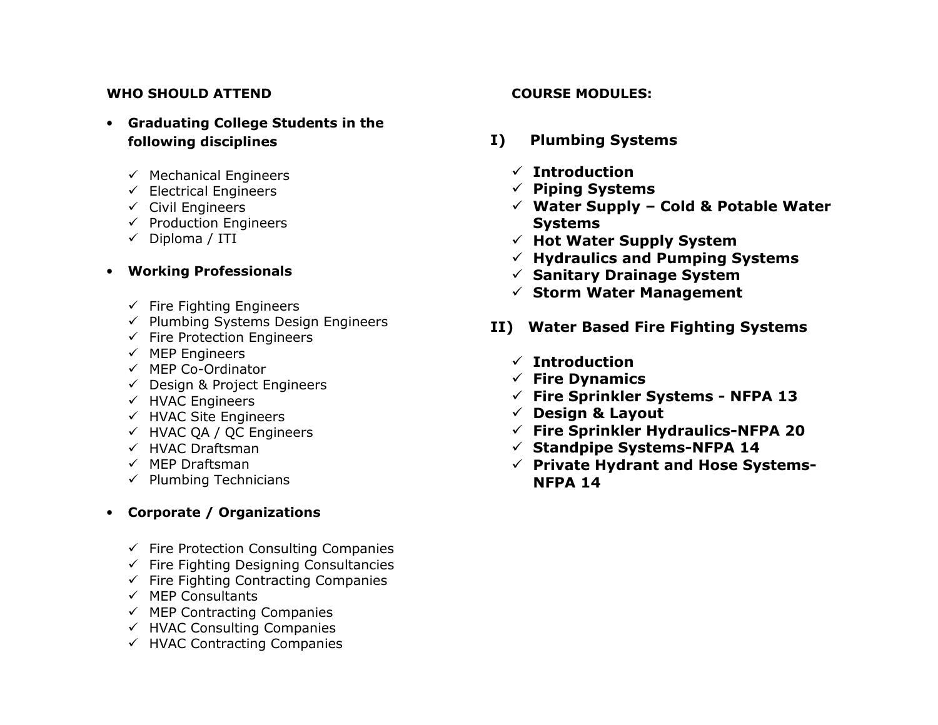## WHO SHOULD ATTEND

- Graduating College Students in the following disciplines
	- ← Mechanical Engineers<br>← Electrical Engineers
	- $\checkmark$  Electrical Engineers<br> $\checkmark$  Civil Engineers
	- **V** Civil Engineers<br>∠ Preduction Engi
	- $\checkmark$  Production Engineers<br> $\checkmark$  Dinlama (ITI)
	- $\checkmark$  Diploma / ITI

# • Working Professionals

- **← Fire Fighting Engineers**<br>← Plumbing Systems Desi
- $\checkmark$  Plumbing Systems Design Engineers<br> $\checkmark$  Fire Protection Engineers
- $\checkmark$  Fire Protection Engineers
- √ MEP Engineers<br>∠ MEP Ce Ordinat
- √ MEP Co-Ordinator<br>∠ Design & Project E
- ← Design & Project Engineers
- ← HVAC Engineers<br>← HVAC Site Engine
- Ged HVAC Site Engineers<br>Compute OA / OC Engine
- HVAC QA / QC Engineers
- √ HVAC Draftsman<br>∠MEP Draftsman
- √ MEP Draftsman<br>∠ Dlumbing Techn
- $\checkmark$  Plumbing Technicians

# • Corporate / Organizations

- ← Fire Protection Consulting Companies<br>← Fire Fighting Decisning Consultancies
- $\checkmark$  Fire Fighting Designing Consultancies<br> $\checkmark$  Fire Fighting Contracting Companies
- ✓ Fire Fighting Contracting Companies
- $\times$  MEP Consultants<br> $\times$  MEP Contracting
- ✓ MEP Contracting Companies<br>∠ UVAC Consulting Companies
- HVAC Consulting Companies
- $\checkmark$  HVAC Contracting Companies

# COURSE MODULES:

- I) Plumbing Systems
	- $\checkmark$  Introduction<br>Anting System
	- √ Piping Systems<br>∠ Water Sunnly
	- $\checkmark$  Water Supply Cold & Potable Water Systems
	- $\checkmark$  Hot Water Supply System
	- ✓ Hydraulics and Pumping Systems<br>∠ Sanitam: Duainage System
	- Sanitary Drainage System
	- $\checkmark$  Storm Water Management
- II) Water Based Fire Fighting Systems
	- $\checkmark$  Introduction<br> $\checkmark$  Eire Dynamic
	- **√ Fire Dynamics**<br>∠ Fire Sarinkler (
	- Fire Sprinkler Systems NFPA 13
	- √ Design & Layout<br>∠ Fire Sprinkler Hv
	- Fire Sprinkler Hydraulics-NFPA 20
	- $\checkmark$  Standpipe Systems-NFPA 14
	- **√ Private Hydrant and Hose Systems-**NFPA 14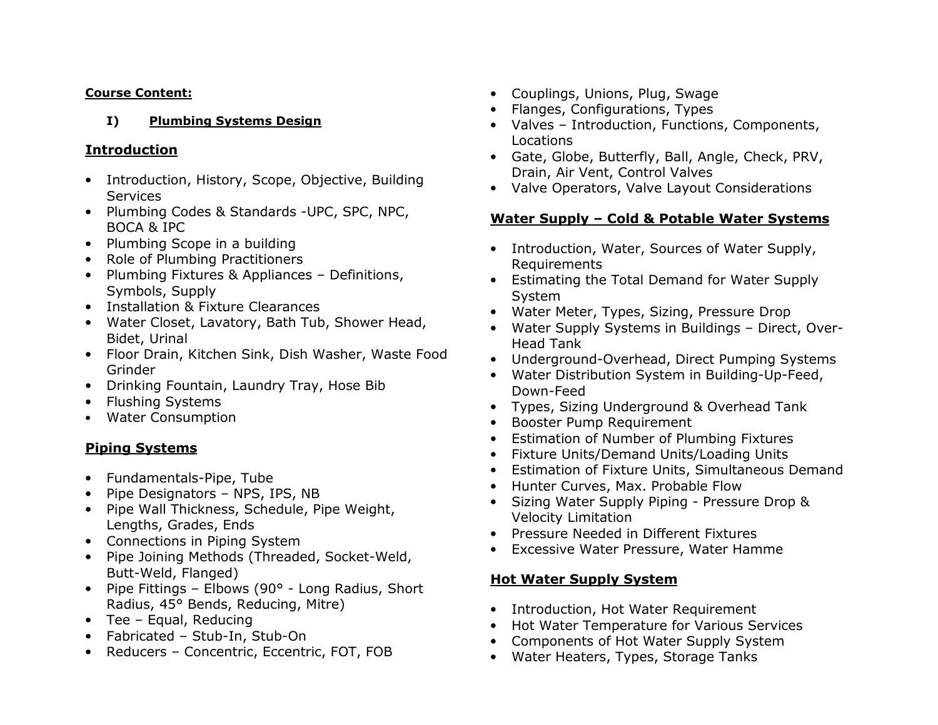#### Course Content:

#### I)Plumbing Systems Design

# Introduction

- Introduction, History, Scope, Objective, Building **Services**
- Plumbing Codes & Standards -UPC, SPC, NPC, BOCA & IPC
- Plumbing Scope in a building
- Role of Plumbing Practitioners
- Plumbing Fixtures & Appliances Definitions, Symbols, Supply
- Installation & Fixture Clearances
- Water Closet, Lavatory, Bath Tub, Shower Head, Bidet, Urinal
- Floor Drain, Kitchen Sink, Dish Washer, Waste Food Grinder
- Drinking Fountain, Laundry Tray, Hose Bib
- Flushing Systems
- Water Consumption

# Piping Systems

- Fundamentals-Pipe, Tube
- Pipe Designators NPS, IPS, NB
- Pipe Wall Thickness, Schedule, Pipe Weight, Lengths, Grades, Ends
- Connections in Piping System
- Pipe Joining Methods (Threaded, Socket-Weld, Butt-Weld, Flanged)
- Pipe Fittings Elbows (90° Long Radius, Short Radius, 45° Bends, Reducing, Mitre)
- Tee Equal, Reducing
- Fabricated Stub-In, Stub-On
- Reducers Concentric, Eccentric, FOT, FOB
- Couplings, Unions, Plug, Swage
- Flanges, Configurations, Types
- Valves Introduction, Functions, Components, Locations
- Gate, Globe, Butterfly, Ball, Angle, Check, PRV, Drain, Air Vent, Control Valves
- Valve Operators, Valve Layout Considerations

# Water Supply – Cold & Potable Water Systems

- Introduction, Water, Sources of Water Supply, Requirements
- Estimating the Total Demand for Water Supply System
- Water Meter, Types, Sizing, Pressure Drop
- Water Supply Systems in Buildings Direct, Over-Head Tank
- Underground-Overhead, Direct Pumping Systems
- Water Distribution System in Building-Up-Feed, Down-Feed
- Types, Sizing Underground & Overhead Tank
- Booster Pump Requirement
- Estimation of Number of Plumbing Fixtures
- Fixture Units/Demand Units/Loading Units
- Estimation of Fixture Units, Simultaneous Demand
- Hunter Curves, Max. Probable Flow
- Sizing Water Supply Piping Pressure Drop & Velocity Limitation
- Pressure Needed in Different Fixtures
- Excessive Water Pressure, Water Hamme

# Hot Water Supply System

- Introduction, Hot Water Requirement
- Hot Water Temperature for Various Services
- Components of Hot Water Supply System
- Water Heaters, Types, Storage Tanks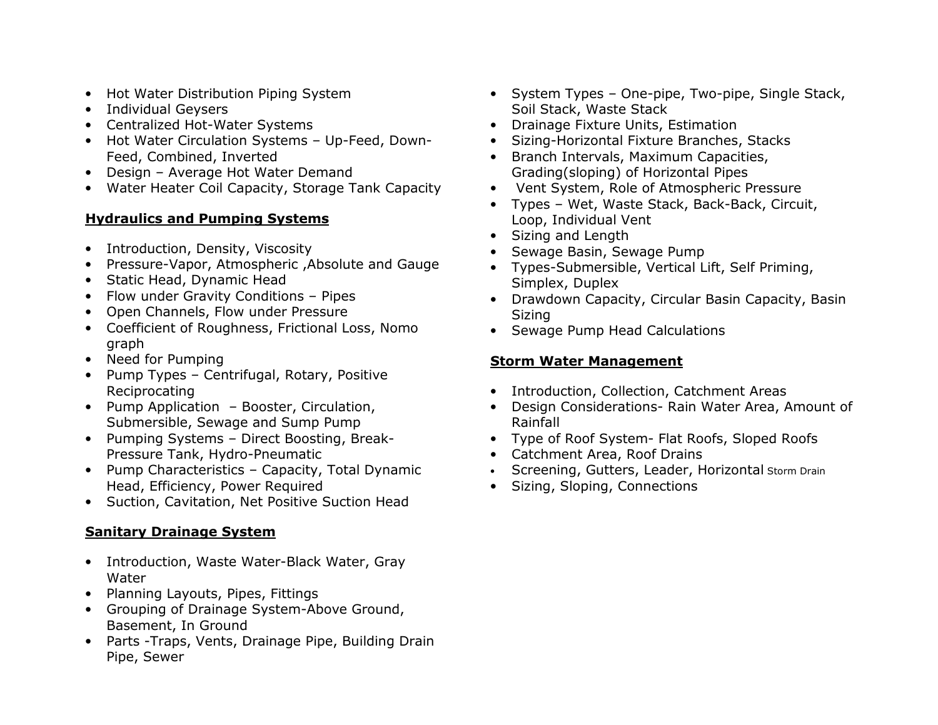- Hot Water Distribution Piping System
- Individual Geysers
- Centralized Hot-Water Systems
- Hot Water Circulation Systems Up-Feed, Down-Feed, Combined, Inverted
- Design Average Hot Water Demand
- Water Heater Coil Capacity, Storage Tank Capacity

# Hydraulics and Pumping Systems

- Introduction, Density, Viscosity
- Pressure-Vapor, Atmospheric ,Absolute and Gauge
- Static Head, Dynamic Head
- Flow under Gravity Conditions Pipes
- Open Channels, Flow under Pressure
- Coefficient of Roughness, Frictional Loss, Nomo graph
- Need for Pumping
- Pump Types Centrifugal, Rotary, Positive Reciprocating
- Pump Application Booster, Circulation, Submersible, Sewage and Sump Pump
- Pumping Systems Direct Boosting, Break-Pressure Tank, Hydro-Pneumatic
- Pump Characteristics Capacity, Total Dynamic Head, Efficiency, Power Required
- Suction, Cavitation, Net Positive Suction Head

# Sanitary Drainage System

- Introduction, Waste Water-Black Water, Gray Water
- Planning Layouts, Pipes, Fittings
- Grouping of Drainage System-Above Ground, Basement, In Ground
- Parts -Traps, Vents, Drainage Pipe, Building Drain Pipe, Sewer
- System Types One-pipe, Two-pipe, Single Stack, Soil Stack, Waste Stack
- Drainage Fixture Units, Estimation
- Sizing-Horizontal Fixture Branches, Stacks
- Branch Intervals, Maximum Capacities, Grading(sloping) of Horizontal Pipes
- Vent System, Role of Atmospheric Pressure
- Types Wet, Waste Stack, Back-Back, Circuit, Loop, Individual Vent
- Sizing and Length
- Sewage Basin, Sewage Pump
- Types-Submersible, Vertical Lift, Self Priming, Simplex, Duplex
- Drawdown Capacity, Circular Basin Capacity, Basin Sizing
- Sewage Pump Head Calculations

# Storm Water Management

- Introduction, Collection, Catchment Areas
- Design Considerations- Rain Water Area, Amount of Rainfall
- Type of Roof System- Flat Roofs, Sloped Roofs
- Catchment Area, Roof Drains
- Screening, Gutters, Leader, Horizontal Storm Drain
- Sizing, Sloping, Connections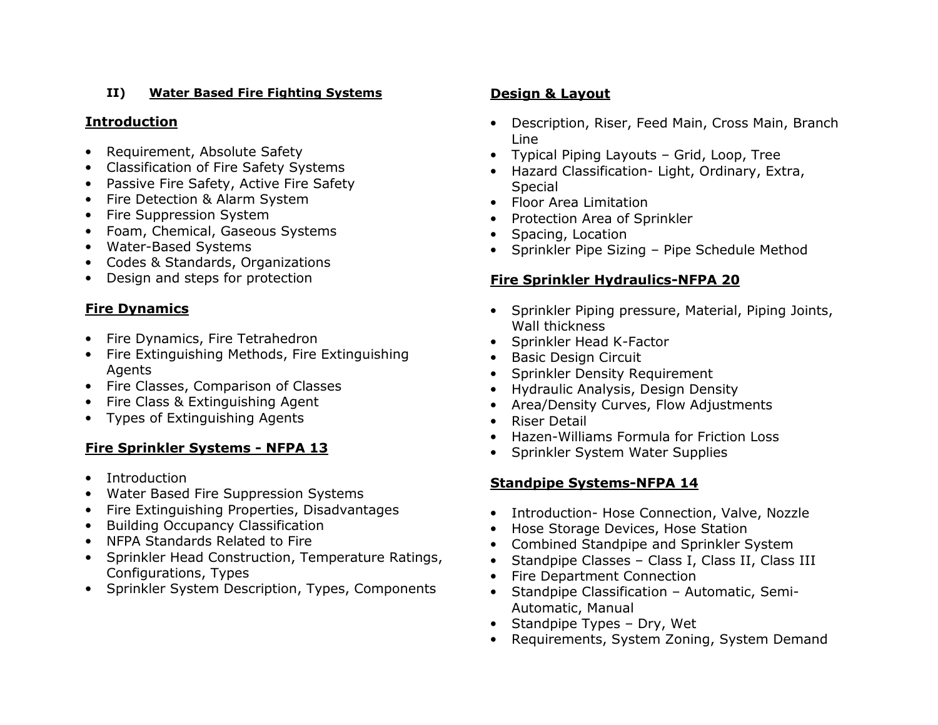#### II)Water Based Fire Fighting Systems

# **Introduction**

- Requirement, Absolute Safety
- Classification of Fire Safety Systems
- Passive Fire Safety, Active Fire Safety
- Fire Detection & Alarm System
- Fire Suppression System
- Foam, Chemical, Gaseous Systems
- Water-Based Systems
- Codes & Standards, Organizations
- Design and steps for protection

# Fire Dynamics

- Fire Dynamics, Fire Tetrahedron
- Fire Extinguishing Methods, Fire Extinguishing Agents
- Fire Classes, Comparison of Classes
- Fire Class & Extinguishing Agent
- Types of Extinguishing Agents

# Fire Sprinkler Systems - NFPA 13

- Introduction
- •Water Based Fire Suppression Systems
- Fire Extinguishing Properties, Disadvantages
- Building Occupancy Classification
- NFPA Standards Related to Fire
- Sprinkler Head Construction, Temperature Ratings, Configurations, Types
- Sprinkler System Description, Types, Components

# Design & Layout

- Description, Riser, Feed Main, Cross Main, Branch Line
- Typical Piping Layouts Grid, Loop, Tree
- Hazard Classification- Light, Ordinary, Extra, Special
- Floor Area Limitation
- Protection Area of Sprinkler
- Spacing, Location
- Sprinkler Pipe Sizing Pipe Schedule Method

# Fire Sprinkler Hydraulics-NFPA 20

- Sprinkler Piping pressure, Material, Piping Joints, Wall thickness
- Sprinkler Head K-Factor
- Basic Design Circuit
- Sprinkler Density Requirement
- Hydraulic Analysis, Design Density
- Area/Density Curves, Flow Adjustments
- Riser Detail
- Hazen-Williams Formula for Friction Loss
- Sprinkler System Water Supplies

# Standpipe Systems-NFPA 14

- Introduction- Hose Connection, Valve, Nozzle
- Hose Storage Devices, Hose Station
- Combined Standpipe and Sprinkler System
- Standpipe Classes Class I, Class II, Class III
- Fire Department Connection
- Standpipe Classification Automatic, Semi-Automatic, Manual
- Standpipe Types Dry, Wet
- Requirements, System Zoning, System Demand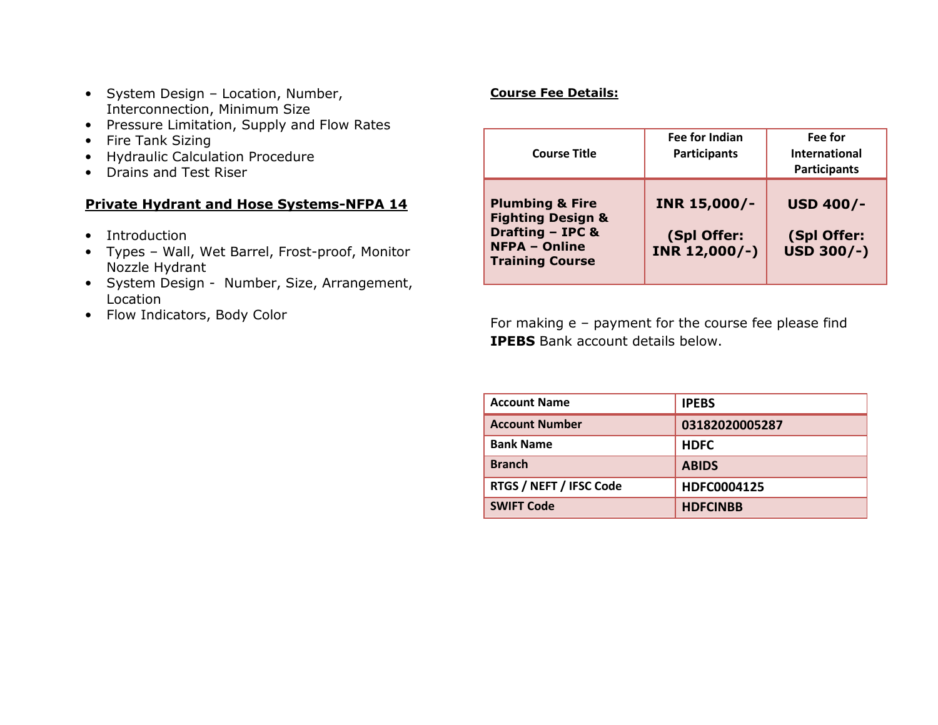- System Design Location, Number, Interconnection, Minimum Size
- Pressure Limitation, Supply and Flow Rates
- Fire Tank Sizing
- Hydraulic Calculation Procedure
- Drains and Test Riser

# Private Hydrant and Hose Systems-NFPA 14

- Introduction
- Types Wall, Wet Barrel, Frost-proof, Monitor Nozzle Hydrant
- System Design Number, Size, Arrangement, Location
- Flow Indicators, Body Color

# Course Fee Details:

| <b>Course Title</b>                                                                                                                         | Fee for Indian<br><b>Participants</b>        | Fee for<br><b>International</b><br><b>Participants</b> |
|---------------------------------------------------------------------------------------------------------------------------------------------|----------------------------------------------|--------------------------------------------------------|
| <b>Plumbing &amp; Fire</b><br><b>Fighting Design &amp;</b><br><b>Drafting - IPC &amp;</b><br><b>NFPA - Online</b><br><b>Training Course</b> | INR 15,000/-<br>(Spl Offer:<br>INR 12,000/-) | <b>USD 400/-</b><br>(Spl Offer:<br>USD 300/-)          |

For making e – payment for the course fee please find IPEBS Bank account details below.

| <b>Account Name</b>     | <b>IPEBS</b>    |
|-------------------------|-----------------|
| <b>Account Number</b>   | 03182020005287  |
| <b>Bank Name</b>        | <b>HDFC</b>     |
| <b>Branch</b>           | <b>ABIDS</b>    |
| RTGS / NEFT / IFSC Code | HDFC0004125     |
| <b>SWIFT Code</b>       | <b>HDFCINBB</b> |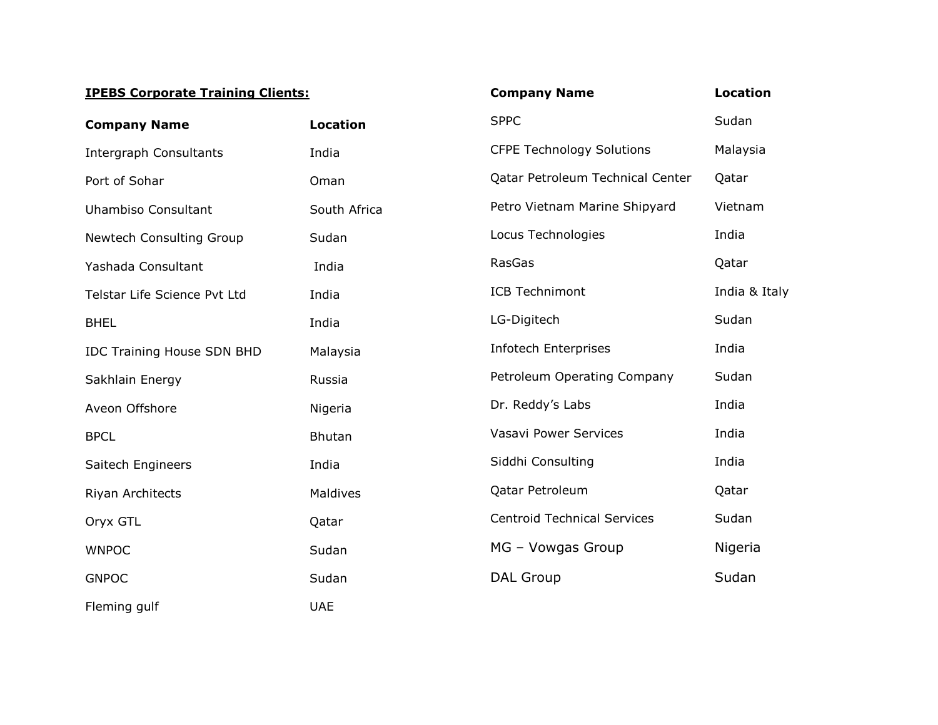#### IPEBS Corporate Training Clients:

| <b>IPEBS Corporate Training Clients:</b> |                 | <b>Company Name</b>                | <b>Location</b> |
|------------------------------------------|-----------------|------------------------------------|-----------------|
| <b>Company Name</b>                      | <b>Location</b> | <b>SPPC</b>                        | Sudan           |
| <b>Intergraph Consultants</b>            | India           | <b>CFPE Technology Solutions</b>   | Malaysia        |
| Port of Sohar                            | Oman            | Qatar Petroleum Technical Center   | Qatar           |
| <b>Uhambiso Consultant</b>               | South Africa    | Petro Vietnam Marine Shipyard      | Vietnam         |
| Newtech Consulting Group                 | Sudan           | Locus Technologies                 | India           |
| Yashada Consultant                       | India           | RasGas                             | Qatar           |
| Telstar Life Science Pvt Ltd             | India           | <b>ICB Technimont</b>              | India & Italy   |
| <b>BHEL</b>                              | India           | LG-Digitech                        | Sudan           |
| <b>IDC Training House SDN BHD</b>        | Malaysia        | <b>Infotech Enterprises</b>        | India           |
| Sakhlain Energy                          | Russia          | Petroleum Operating Company        | Sudan           |
| Aveon Offshore                           | Nigeria         | Dr. Reddy's Labs                   | India           |
| <b>BPCL</b>                              | <b>Bhutan</b>   | <b>Vasavi Power Services</b>       | India           |
| Saitech Engineers                        | India           | Siddhi Consulting                  | India           |
| Riyan Architects                         | Maldives        | Qatar Petroleum                    | Qatar           |
| Oryx GTL                                 | Qatar           | <b>Centroid Technical Services</b> | Sudan           |
| <b>WNPOC</b>                             | Sudan           | MG - Vowgas Group                  | Nigeria         |
| <b>GNPOC</b>                             | Sudan           | <b>DAL Group</b>                   | Sudan           |
| Fleming gulf                             | <b>UAE</b>      |                                    |                 |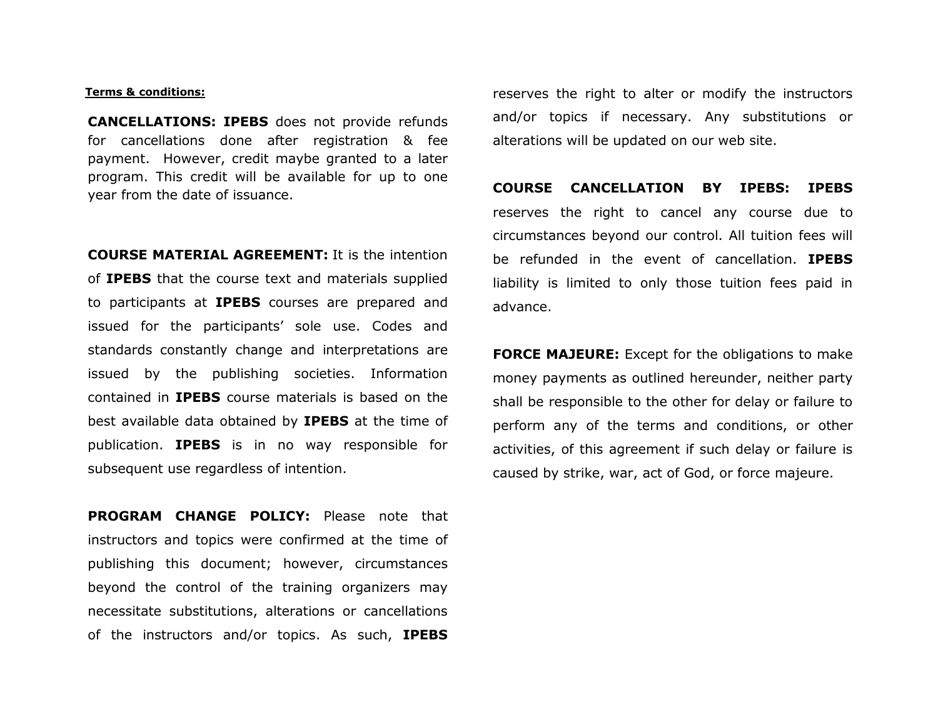#### Terms & conditions:

CANCELLATIONS: IPEBS does not provide refunds for cancellations done after registration & fee payment. However, credit maybe granted to a later program. This credit will be available for up to one year from the date of issuance.

COURSE MATERIAL AGREEMENT: It is the intention of IPEBS that the course text and materials supplied to participants at IPEBS courses are prepared and issued for the participants' sole use. Codes and standards constantly change and interpretations areissued by the publishing societies. Information contained in IPEBS course materials is based on the best available data obtained by **IPEBS** at the time of publication. IPEBS is in no way responsible for subsequent use regardless of intention.

PROGRAM CHANGE POLICY: Please note that instructors and topics were confirmed at the time of publishing this document; however, circumstances beyond the control of the training organizers may necessitate substitutions, alterations or cancellations of the instructors and/or topics. As such, IPEBS

reserves the right to alter or modify the instructors and/or topics if necessary. Any substitutions or alterations will be updated on our web site.

COURSE CANCELLATION BY IPEBS: IPEBSreserves the right to cancel any course due to circumstances beyond our control. All tuition fees will be refunded in the event of cancellation. IPEBSliability is limited to only those tuition fees paid in advance.

**FORCE MAJEURE:** Except for the obligations to make money payments as outlined hereunder, neither partyshall be responsible to the other for delay or failure to perform any of the terms and conditions, or other activities, of this agreement if such delay or failure is caused by strike, war, act of God, or force majeure.